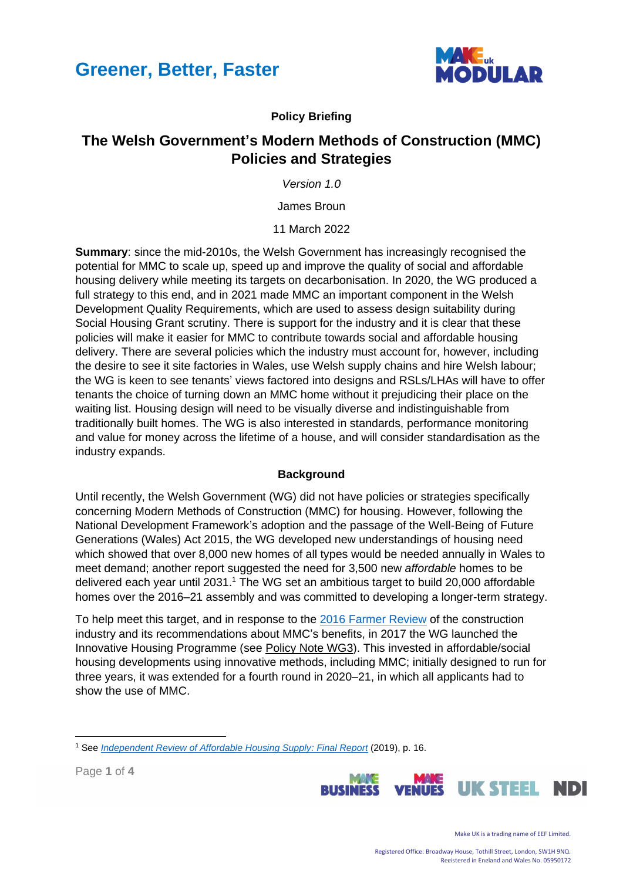



#### **Policy Briefing**

### **The Welsh Government's Modern Methods of Construction (MMC) Policies and Strategies**

*Version 1.0*

James Broun

11 March 2022

**Summary**: since the mid-2010s, the Welsh Government has increasingly recognised the potential for MMC to scale up, speed up and improve the quality of social and affordable housing delivery while meeting its targets on decarbonisation. In 2020, the WG produced a full strategy to this end, and in 2021 made MMC an important component in the Welsh Development Quality Requirements, which are used to assess design suitability during Social Housing Grant scrutiny. There is support for the industry and it is clear that these policies will make it easier for MMC to contribute towards social and affordable housing delivery. There are several policies which the industry must account for, however, including the desire to see it site factories in Wales, use Welsh supply chains and hire Welsh labour; the WG is keen to see tenants' views factored into designs and RSLs/LHAs will have to offer tenants the choice of turning down an MMC home without it prejudicing their place on the waiting list. Housing design will need to be visually diverse and indistinguishable from traditionally built homes. The WG is also interested in standards, performance monitoring and value for money across the lifetime of a house, and will consider standardisation as the industry expands.

#### **Background**

Until recently, the Welsh Government (WG) did not have policies or strategies specifically concerning Modern Methods of Construction (MMC) for housing. However, following the National Development Framework's adoption and the passage of the Well-Being of Future Generations (Wales) Act 2015, the WG developed new understandings of housing need which showed that over 8,000 new homes of all types would be needed annually in Wales to meet demand; another report suggested the need for 3,500 new *affordable* homes to be delivered each year until 2031. <sup>1</sup> The WG set an ambitious target to build 20,000 affordable homes over the 2016–21 assembly and was committed to developing a longer-term strategy.

To help meet this target, and in response to the [2016 Farmer Review](https://www.designingbuildings.co.uk/wiki/Farmer_Review_2016:_Modernise_or_die) of the construction industry and its recommendations about MMC's benefits, in 2017 the WG launched the Innovative Housing Programme (see Policy Note WG3). This invested in affordable/social housing developments using innovative methods, including MMC; initially designed to run for three years, it was extended for a fourth round in 2020–21, in which all applicants had to show the use of MMC.

Page **1** of **4**



Make UK is a trading name of EEF Limited.

<sup>1</sup> See *[Independent Review of Affordable Housing Supply: Final Report](https://gov.wales/sites/default/files/publications/2019-04/independent-review-of-affordable-housing-supply-report_0.pdf)* (2019), p. 16.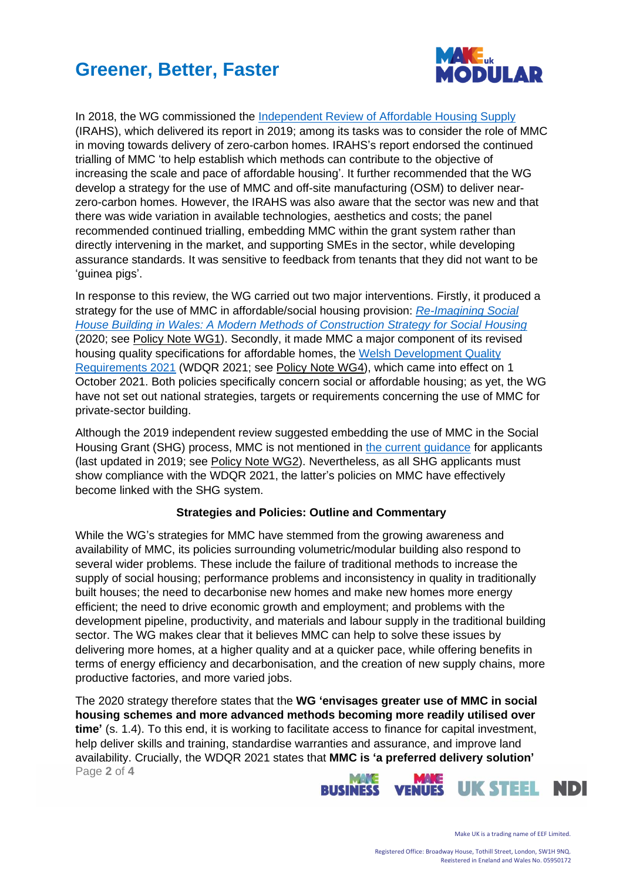# **Greener, Better, Faster**



In 2018, the WG commissioned the [Independent Review of Affordable Housing Supply](https://gov.wales/sites/default/files/publications/2019-04/independent-review-of-affordable-housing-supply-report_0.pdf) (IRAHS), which delivered its report in 2019; among its tasks was to consider the role of MMC in moving towards delivery of zero-carbon homes. IRAHS's report endorsed the continued trialling of MMC 'to help establish which methods can contribute to the objective of increasing the scale and pace of affordable housing'. It further recommended that the WG develop a strategy for the use of MMC and off-site manufacturing (OSM) to deliver nearzero-carbon homes. However, the IRAHS was also aware that the sector was new and that there was wide variation in available technologies, aesthetics and costs; the panel recommended continued trialling, embedding MMC within the grant system rather than directly intervening in the market, and supporting SMEs in the sector, while developing assurance standards. It was sensitive to feedback from tenants that they did not want to be 'guinea pigs'.

In response to this review, the WG carried out two major interventions. Firstly, it produced a strategy for the use of MMC in affordable/social housing provision: *[Re-Imagining Social](https://gov.wales/sites/default/files/publications/2020-02/social-house-building-strategy_0.pdf)  [House Building in Wales: A Modern Methods of Construction Strategy for Social Housing](https://gov.wales/sites/default/files/publications/2020-02/social-house-building-strategy_0.pdf)* (2020; see Policy Note WG1). Secondly, it made MMC a major component of its revised housing quality specifications for affordable homes, the [Welsh Development Quality](https://gov.wales/sites/default/files/publications/2021-08/development-quality-requirements-for-housing-associations.pdf)  [Requirements 2021](https://gov.wales/sites/default/files/publications/2021-08/development-quality-requirements-for-housing-associations.pdf) (WDQR 2021; see Policy Note WG4), which came into effect on 1 October 2021. Both policies specifically concern social or affordable housing; as yet, the WG have not set out national strategies, targets or requirements concerning the use of MMC for private-sector building.

Although the 2019 independent review suggested embedding the use of MMC in the Social Housing Grant (SHG) process, MMC is not mentioned in [the current guidance](https://gov.wales/sites/default/files/publications/2019-11/social-housing-grant-guidance-for-registered-social-landlords-and-local-authorities.pdf) for applicants (last updated in 2019; see Policy Note WG2). Nevertheless, as all SHG applicants must show compliance with the WDQR 2021, the latter's policies on MMC have effectively become linked with the SHG system.

#### **Strategies and Policies: Outline and Commentary**

While the WG's strategies for MMC have stemmed from the growing awareness and availability of MMC, its policies surrounding volumetric/modular building also respond to several wider problems. These include the failure of traditional methods to increase the supply of social housing; performance problems and inconsistency in quality in traditionally built houses; the need to decarbonise new homes and make new homes more energy efficient; the need to drive economic growth and employment; and problems with the development pipeline, productivity, and materials and labour supply in the traditional building sector. The WG makes clear that it believes MMC can help to solve these issues by delivering more homes, at a higher quality and at a quicker pace, while offering benefits in terms of energy efficiency and decarbonisation, and the creation of new supply chains, more productive factories, and more varied jobs.

Page **2** of **4** The 2020 strategy therefore states that the **WG 'envisages greater use of MMC in social housing schemes and more advanced methods becoming more readily utilised over time'** (s. 1.4). To this end, it is working to facilitate access to finance for capital investment, help deliver skills and training, standardise warranties and assurance, and improve land availability. Crucially, the WDQR 2021 states that **MMC is 'a preferred delivery solution'**

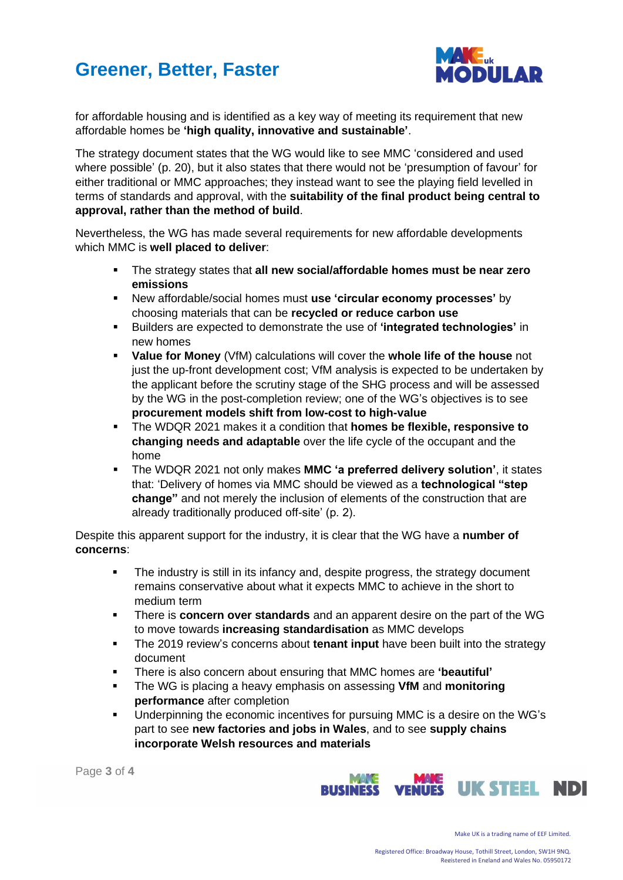# **Greener, Better, Faster**



for affordable housing and is identified as a key way of meeting its requirement that new affordable homes be **'high quality, innovative and sustainable'**.

The strategy document states that the WG would like to see MMC 'considered and used where possible' (p. 20), but it also states that there would not be 'presumption of favour' for either traditional or MMC approaches; they instead want to see the playing field levelled in terms of standards and approval, with the **suitability of the final product being central to approval, rather than the method of build**.

Nevertheless, the WG has made several requirements for new affordable developments which MMC is **well placed to deliver**:

- The strategy states that **all new social/affordable homes must be near zero emissions**
- New affordable/social homes must **use 'circular economy processes'** by choosing materials that can be **recycled or reduce carbon use**
- Builders are expected to demonstrate the use of **'integrated technologies'** in new homes
- **Value for Money** (VfM) calculations will cover the whole life of the house not just the up-front development cost; VfM analysis is expected to be undertaken by the applicant before the scrutiny stage of the SHG process and will be assessed by the WG in the post-completion review; one of the WG's objectives is to see **procurement models shift from low-cost to high-value**
- The WDQR 2021 makes it a condition that **homes be flexible, responsive to changing needs and adaptable** over the life cycle of the occupant and the home
- The WDQR 2021 not only makes **MMC 'a preferred delivery solution'**, it states that: 'Delivery of homes via MMC should be viewed as a **technological "step change"** and not merely the inclusion of elements of the construction that are already traditionally produced off-site' (p. 2).

Despite this apparent support for the industry, it is clear that the WG have a **number of concerns**:

- The industry is still in its infancy and, despite progress, the strategy document remains conservative about what it expects MMC to achieve in the short to medium term
- There is **concern over standards** and an apparent desire on the part of the WG to move towards **increasing standardisation** as MMC develops
- The 2019 review's concerns about **tenant input** have been built into the strategy document
- There is also concern about ensuring that MMC homes are **'beautiful'**
- The WG is placing a heavy emphasis on assessing **VfM** and **monitoring performance** after completion
- Underpinning the economic incentives for pursuing MMC is a desire on the WG's part to see **new factories and jobs in Wales**, and to see **supply chains incorporate Welsh resources and materials**

Page **3** of **4**